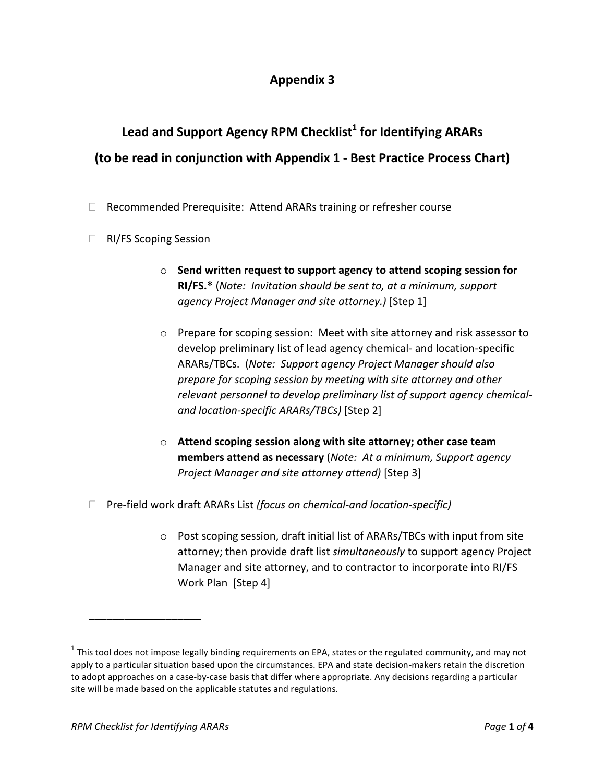## **Appendix 3**

## Lead and Support Agency RPM Checklist<sup>1</sup> for Identifying ARARs  **(to be read in conjunction with Appendix 1 - Best Practice Process Chart)**

- □ Recommended Prerequisite: Attend ARARs training or refresher course
- □ RI/FS Scoping Session
	- o **Send written request to support agency to attend scoping session for**   **RI/FS.\*** (*Note: Invitation should be sent to, at a minimum, support agency Project Manager and site attorney.)* [Step 1]
	- o Prepare for scoping session: Meet with site attorney and risk assessor to develop preliminary list of lead agency chemical- and location-specific  ARARs/TBCs. (*Note: Support agency Project Manager should also prepare for scoping session by meeting with site attorney and other relevant personnel to develop preliminary list of support agency chemicaland location-specific ARARs/TBCs)* [Step 2]
	- o **Attend scoping session along with site attorney; other case team**   **members attend as necessary** (*Note: At a minimum, Support agency Project Manager and site attorney attend)* [Step 3]
- □ Pre-field work draft ARARs List (focus on chemical-and location-specific)
	- o Post scoping session, draft initial list of ARARs/TBCs with input from site attorney; then provide draft list *simultaneously* to support agency Project Manager and site attorney, and to contractor to incorporate into RI/FS Work Plan [Step 4]

\_\_\_\_\_\_\_\_\_\_\_\_\_\_\_\_\_\_\_

 $\overline{a}$ 

 $^1$  This tool does not impose legally binding requirements on EPA, states or the regulated community, and may not apply to a particular situation based upon the circumstances. EPA and state decision-makers retain the discretion to adopt approaches on a case-by-case basis that differ where appropriate. Any decisions regarding a particular site will be made based on the applicable statutes and regulations.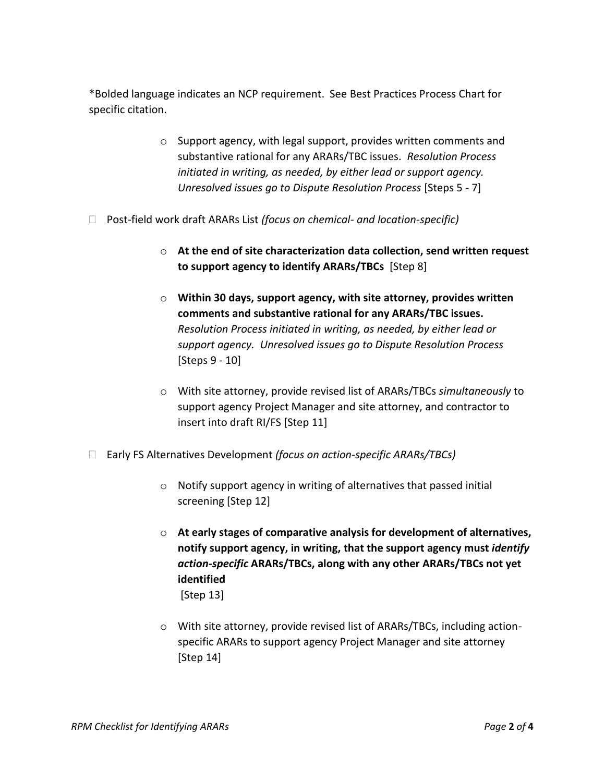\*Bolded language indicates an NCP requirement. See Best Practices Process Chart for specific citation.

- substantive rational for any ARARs/TBC issues. *Resolution Process initiated in writing, as needed, by either lead or support agency. Unresolved issues go to Dispute Resolution Process* [Steps 5 - 7] o Support agency, with legal support, provides written comments and
- Post-field work draft ARARs List *(focus on chemical- and location-specific)* 
	- o **At the end of site characterization data collection, send written request to support agency to identify ARARs/TBCs** [Step 8]
	- o **Within 30 days, support agency, with site attorney, provides written comments and substantive rational for any ARARs/TBC issues.**   *support agency. Unresolved issues go to Dispute Resolution Process*  [Steps 9 - 10] *Resolution Process initiated in writing, as needed, by either lead or*
	- o With site attorney, provide revised list of ARARs/TBCs *simultaneously* to support agency Project Manager and site attorney, and contractor to insert into draft RI/FS [Step 11]
- Early FS Alternatives Development *(focus on action-specific ARARs/TBCs)* 
	- o Notify support agency in writing of alternatives that passed initial screening [Step 12]
	- o **At early stages of comparative analysis for development of alternatives,**  *action-specific* **ARARs/TBCs, along with any other ARARs/TBCs not yet notify support agency, in writing, that the support agency must** *identify*  **identified**  [Step 13]
	- o With site attorney, provide revised list of ARARs/TBCs, including action- specific ARARs to support agency Project Manager and site attorney [Step 14]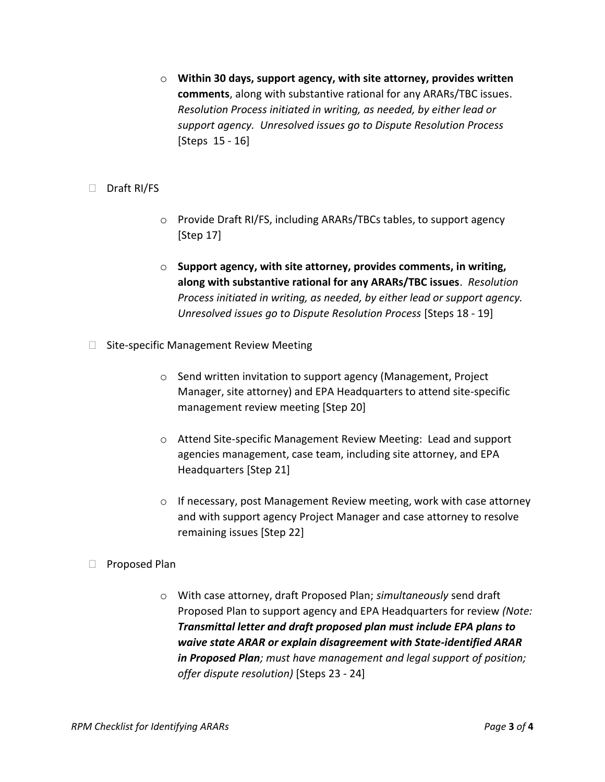o **Within 30 days, support agency, with site attorney, provides written comments**, along with substantive rational for any ARARs/TBC issues.  *support agency. Unresolved issues go to Dispute Resolution Process*  [Steps 15 - 16] *Resolution Process initiated in writing, as needed, by either lead or* 

## □ Draft RI/FS

- o Provide Draft RI/FS, including ARARs/TBCs tables, to support agency [Step 17]
- o **Support agency, with site attorney, provides comments, in writing, along with substantive rational for any ARARs/TBC issues**. *Resolution Process initiated in writing, as needed, by either lead or support agency. Unresolved issues go to Dispute Resolution Process* [Steps 18 - 19]
- $\Box$  Site-specific Management Review Meeting
	- o Send written invitation to support agency (Management, Project Manager, site attorney) and EPA Headquarters to attend site-specific management review meeting [Step 20]
	- o Attend Site-specific Management Review Meeting: Lead and support agencies management, case team, including site attorney, and EPA Headquarters [Step 21]
	- o If necessary, post Management Review meeting, work with case attorney and with support agency Project Manager and case attorney to resolve remaining issues [Step 22]
- Proposed Plan
	- o With case attorney, draft Proposed Plan; *simultaneously* send draft Proposed Plan to support agency and EPA Headquarters for review *(Note: Transmittal letter and draft proposed plan must include EPA plans to waive state ARAR or explain disagreement with State-identified ARAR in Proposed Plan; must have management and legal support of position; offer dispute resolution)* [Steps 23 - 24]